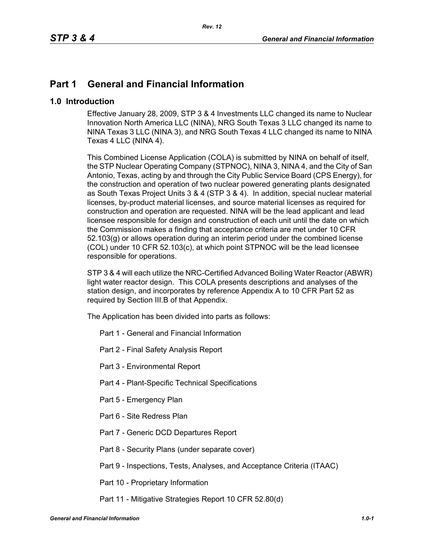# **Part 1 General and Financial Information**

### **1.0 Introduction**

Effective January 28, 2009, STP 3 & 4 Investments LLC changed its name to Nuclear Innovation North America LLC (NINA), NRG South Texas 3 LLC changed its name to NINA Texas 3 LLC (NINA 3), and NRG South Texas 4 LLC changed its name to NINA Texas 4 LLC (NINA 4).

This Combined License Application (COLA) is submitted by NINA on behalf of itself, the STP Nuclear Operating Company (STPNOC), NINA 3, NINA 4, and the City of San Antonio, Texas, acting by and through the City Public Service Board (CPS Energy), for the construction and operation of two nuclear powered generating plants designated as South Texas Project Units 3 & 4 (STP 3 & 4). In addition, special nuclear material licenses, by-product material licenses, and source material licenses as required for construction and operation are requested. NINA will be the lead applicant and lead licensee responsible for design and construction of each unit until the date on which the Commission makes a finding that acceptance criteria are met under 10 CFR 52.103(g) or allows operation during an interim period under the combined license (COL) under 10 CFR 52.103(c), at which point STPNOC will be the lead licensee responsible for operations.

STP 3 & 4 will each utilize the NRC-Certified Advanced Boiling Water Reactor (ABWR) light water reactor design. This COLA presents descriptions and analyses of the station design, and incorporates by reference Appendix A to 10 CFR Part 52 as required by Section III.B of that Appendix.

The Application has been divided into parts as follows:

- Part 1 General and Financial Information
- Part 2 Final Safety Analysis Report
- Part 3 Environmental Report
- Part 4 Plant-Specific Technical Specifications
- Part 5 Emergency Plan
- Part 6 Site Redress Plan
- Part 7 Generic DCD Departures Report
- Part 8 Security Plans (under separate cover)
- Part 9 Inspections, Tests, Analyses, and Acceptance Criteria (ITAAC)
- Part 10 Proprietary Information
- Part 11 Mitigative Strategies Report 10 CFR 52.80(d)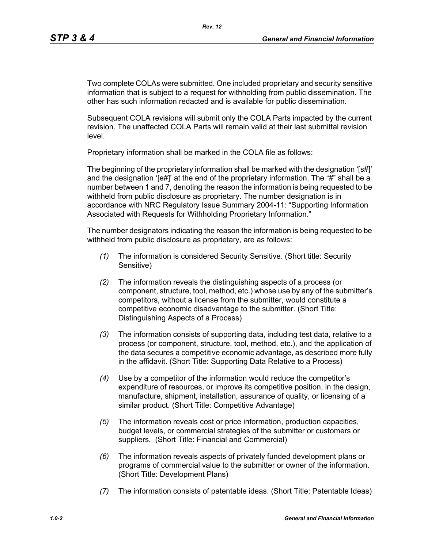Two complete COLAs were submitted. One included proprietary and security sensitive information that is subject to a request for withholding from public dissemination. The other has such information redacted and is available for public dissemination.

Subsequent COLA revisions will submit only the COLA Parts impacted by the current revision. The unaffected COLA Parts will remain valid at their last submittal revision level.

Proprietary information shall be marked in the COLA file as follows:

The beginning of the proprietary information shall be marked with the designation '[s#]' and the designation '[e#]' at the end of the proprietary information. The "#" shall be a number between 1 and 7, denoting the reason the information is being requested to be withheld from public disclosure as proprietary. The number designation is in accordance with NRC Regulatory Issue Summary 2004-11: "Supporting Information Associated with Requests for Withholding Proprietary Information."

The number designators indicating the reason the information is being requested to be withheld from public disclosure as proprietary, are as follows:

- *(1)* The information is considered Security Sensitive. (Short title: Security Sensitive)
- *(2)* The information reveals the distinguishing aspects of a process (or component, structure, tool, method, etc.) whose use by any of the submitter's competitors, without a license from the submitter, would constitute a competitive economic disadvantage to the submitter. (Short Title: Distinguishing Aspects of a Process)
- *(3)* The information consists of supporting data, including test data, relative to a process (or component, structure, tool, method, etc.), and the application of the data secures a competitive economic advantage, as described more fully in the affidavit. (Short Title: Supporting Data Relative to a Process)
- *(4)* Use by a competitor of the information would reduce the competitor's expenditure of resources, or improve its competitive position, in the design, manufacture, shipment, installation, assurance of quality, or licensing of a similar product. (Short Title: Competitive Advantage)
- *(5)* The information reveals cost or price information, production capacities, budget levels, or commercial strategies of the submitter or customers or suppliers. (Short Title: Financial and Commercial)
- *(6)* The information reveals aspects of privately funded development plans or programs of commercial value to the submitter or owner of the information. (Short Title: Development Plans)
- *(7)* The information consists of patentable ideas. (Short Title: Patentable Ideas)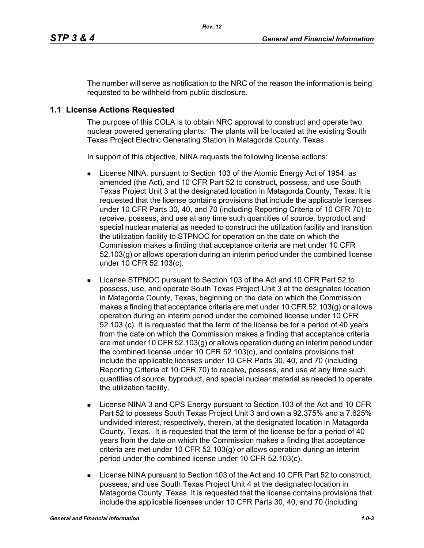The number will serve as notification to the NRC of the reason the information is being requested to be withheld from public disclosure.

# **1.1 License Actions Requested**

The purpose of this COLA is to obtain NRC approval to construct and operate two nuclear powered generating plants. The plants will be located at the existing South Texas Project Electric Generating Station in Matagorda County, Texas.

In support of this objective, NINA requests the following license actions:

- **EXECT** License NINA, pursuant to Section 103 of the Atomic Energy Act of 1954, as amended (the Act), and 10 CFR Part 52 to construct, possess, and use South Texas Project Unit 3 at the designated location in Matagorda County, Texas. It is requested that the license contains provisions that include the applicable licenses under 10 CFR Parts 30, 40, and 70 (including Reporting Criteria of 10 CFR 70) to receive, possess, and use at any time such quantities of source, byproduct and special nuclear material as needed to construct the utilization facility and transition the utilization facility to STPNOC for operation on the date on which the Commission makes a finding that acceptance criteria are met under 10 CFR 52.103(g) or allows operation during an interim period under the combined license under 10 CFR 52.103(c).
- License STPNOC pursuant to Section 103 of the Act and 10 CFR Part 52 to possess, use, and operate South Texas Project Unit 3 at the designated location in Matagorda County, Texas, beginning on the date on which the Commission makes a finding that acceptance criteria are met under 10 CFR  $52.103(q)$  or allows operation during an interim period under the combined license under 10 CFR 52.103 (c). It is requested that the term of the license be for a period of 40 years from the date on which the Commission makes a finding that acceptance criteria are met under 10 CFR 52.103(g) or allows operation during an interim period under the combined license under 10 CFR 52.103(c), and contains provisions that include the applicable licenses under 10 CFR Parts 30, 40, and 70 (including Reporting Criteria of 10 CFR 70) to receive, possess, and use at any time such quantities of source, byproduct, and special nuclear material as needed to operate the utilization facility.
- License NINA 3 and CPS Energy pursuant to Section 103 of the Act and 10 CFR Part 52 to possess South Texas Project Unit 3 and own a 92.375% and a 7.625% undivided interest, respectively, therein, at the designated location in Matagorda County, Texas. It is requested that the term of the license be for a period of 40 years from the date on which the Commission makes a finding that acceptance criteria are met under 10 CFR 52.103(g) or allows operation during an interim period under the combined license under 10 CFR 52.103(c).
- License NINA pursuant to Section 103 of the Act and 10 CFR Part 52 to construct, possess, and use South Texas Project Unit 4 at the designated location in Matagorda County, Texas. It is requested that the license contains provisions that include the applicable licenses under 10 CFR Parts 30, 40, and 70 (including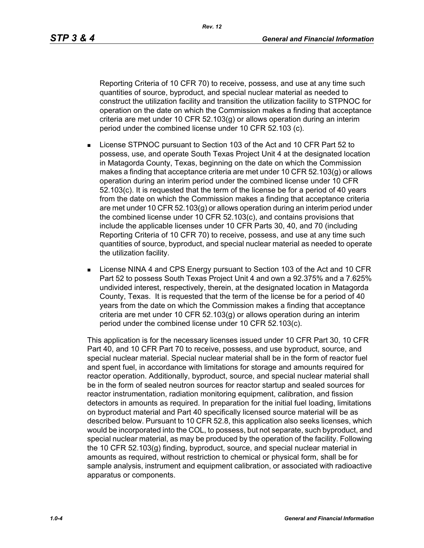*Rev. 12*

Reporting Criteria of 10 CFR 70) to receive, possess, and use at any time such quantities of source, byproduct, and special nuclear material as needed to construct the utilization facility and transition the utilization facility to STPNOC for operation on the date on which the Commission makes a finding that acceptance criteria are met under 10 CFR 52.103(g) or allows operation during an interim period under the combined license under 10 CFR 52.103 (c).

- License STPNOC pursuant to Section 103 of the Act and 10 CFR Part 52 to possess, use, and operate South Texas Project Unit 4 at the designated location in Matagorda County, Texas, beginning on the date on which the Commission makes a finding that acceptance criteria are met under 10 CFR 52.103(g) or allows operation during an interim period under the combined license under 10 CFR 52.103(c). It is requested that the term of the license be for a period of 40 years from the date on which the Commission makes a finding that acceptance criteria are met under 10 CFR 52.103(g) or allows operation during an interim period under the combined license under 10 CFR 52.103(c), and contains provisions that include the applicable licenses under 10 CFR Parts 30, 40, and 70 (including Reporting Criteria of 10 CFR 70) to receive, possess, and use at any time such quantities of source, byproduct, and special nuclear material as needed to operate the utilization facility.
- **EXECT:** License NINA 4 and CPS Energy pursuant to Section 103 of the Act and 10 CFR Part 52 to possess South Texas Project Unit 4 and own a 92.375% and a 7.625% undivided interest, respectively, therein, at the designated location in Matagorda County, Texas. It is requested that the term of the license be for a period of 40 years from the date on which the Commission makes a finding that acceptance criteria are met under 10 CFR 52.103(g) or allows operation during an interim period under the combined license under 10 CFR 52.103(c).

This application is for the necessary licenses issued under 10 CFR Part 30, 10 CFR Part 40, and 10 CFR Part 70 to receive, possess, and use byproduct, source, and special nuclear material. Special nuclear material shall be in the form of reactor fuel and spent fuel, in accordance with limitations for storage and amounts required for reactor operation. Additionally, byproduct, source, and special nuclear material shall be in the form of sealed neutron sources for reactor startup and sealed sources for reactor instrumentation, radiation monitoring equipment, calibration, and fission detectors in amounts as required. In preparation for the initial fuel loading, limitations on byproduct material and Part 40 specifically licensed source material will be as described below. Pursuant to 10 CFR 52.8, this application also seeks licenses, which would be incorporated into the COL, to possess, but not separate, such byproduct, and special nuclear material, as may be produced by the operation of the facility. Following the 10 CFR 52.103(g) finding, byproduct, source, and special nuclear material in amounts as required, without restriction to chemical or physical form, shall be for sample analysis, instrument and equipment calibration, or associated with radioactive apparatus or components.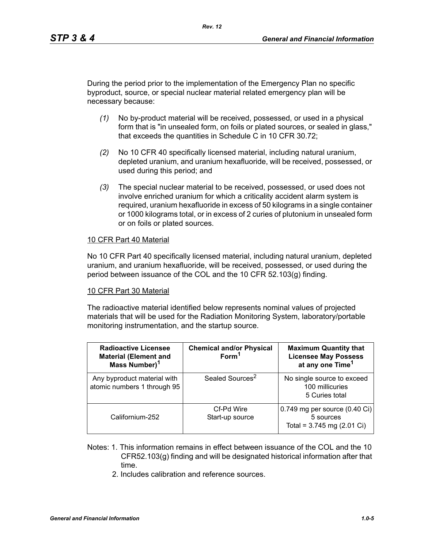During the period prior to the implementation of the Emergency Plan no specific byproduct, source, or special nuclear material related emergency plan will be necessary because:

- *(1)* No by-product material will be received, possessed, or used in a physical form that is "in unsealed form, on foils or plated sources, or sealed in glass," that exceeds the quantities in Schedule C in 10 CFR 30.72;
- *(2)* No 10 CFR 40 specifically licensed material, including natural uranium, depleted uranium, and uranium hexafluoride, will be received, possessed, or used during this period; and
- *(3)* The special nuclear material to be received, possessed, or used does not involve enriched uranium for which a criticality accident alarm system is required, uranium hexafluoride in excess of 50 kilograms in a single container or 1000 kilograms total, or in excess of 2 curies of plutonium in unsealed form or on foils or plated sources.

#### 10 CFR Part 40 Material

No 10 CFR Part 40 specifically licensed material, including natural uranium, depleted uranium, and uranium hexafluoride, will be received, possessed, or used during the period between issuance of the COL and the 10 CFR 52.103(g) finding.

#### 10 CFR Part 30 Material

The radioactive material identified below represents nominal values of projected materials that will be used for the Radiation Monitoring System, laboratory/portable monitoring instrumentation, and the startup source.

| <b>Radioactive Licensee</b><br><b>Material (Element and</b><br>Mass Number) <sup>1</sup> | <b>Chemical and/or Physical</b><br>Form <sup>1</sup> | <b>Maximum Quantity that</b><br><b>Licensee May Possess</b><br>at any one Time <sup>1</sup> |
|------------------------------------------------------------------------------------------|------------------------------------------------------|---------------------------------------------------------------------------------------------|
| Any byproduct material with<br>atomic numbers 1 through 95                               | Sealed Sources <sup>2</sup>                          | No single source to exceed<br>100 millicuries<br>5 Curies total                             |
| Californium-252                                                                          | Cf-Pd Wire<br>Start-up source                        | $0.749$ mg per source (0.40 Ci)<br>5 sources<br>Total = $3.745$ mg (2.01 Ci)                |

- Notes: 1. This information remains in effect between issuance of the COL and the 10 CFR52.103(g) finding and will be designated historical information after that time.
	- 2. Includes calibration and reference sources.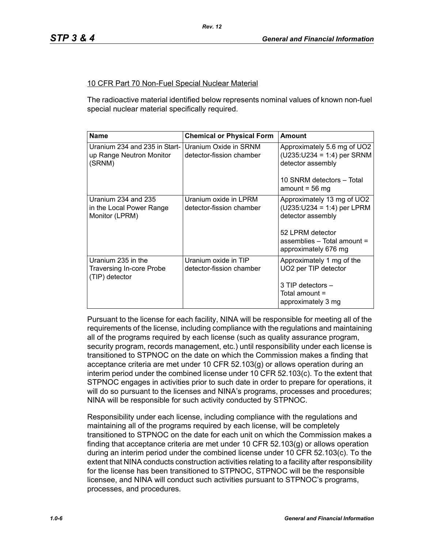#### 10 CFR Part 70 Non-Fuel Special Nuclear Material

The radioactive material identified below represents nominal values of known non-fuel special nuclear material specifically required.

| <b>Name</b>                                                          | <b>Chemical or Physical Form</b>                  | <b>Amount</b>                                                                                                                                              |
|----------------------------------------------------------------------|---------------------------------------------------|------------------------------------------------------------------------------------------------------------------------------------------------------------|
| Uranium 234 and 235 in Start-1<br>up Range Neutron Monitor<br>(SRNM) | Uranium Oxide in SRNM<br>detector-fission chamber | Approximately 5.6 mg of UO2<br>$(U235:U234 = 1:4)$ per SRNM<br>detector assembly<br>10 SNRM detectors - Total<br>amount = $56 \text{ mg}$                  |
| Uranium 234 and 235<br>in the Local Power Range<br>Monitor (LPRM)    | Uranium oxide in LPRM<br>detector-fission chamber | Approximately 13 mg of UO2<br>$(U235:U234 = 1:4)$ per LPRM<br>detector assembly<br>52 LPRM detector<br>assemblies - Total amount =<br>approximately 676 mg |
| Uranium 235 in the<br>Traversing In-core Probe<br>(TIP) detector     | Uranium oxide in TIP<br>detector-fission chamber  | Approximately 1 mg of the<br>UO2 per TIP detector<br>$3$ TIP detectors $-$<br>Total amount =<br>approximately 3 mg                                         |

Pursuant to the license for each facility, NINA will be responsible for meeting all of the requirements of the license, including compliance with the regulations and maintaining all of the programs required by each license (such as quality assurance program, security program, records management, etc.) until responsibility under each license is transitioned to STPNOC on the date on which the Commission makes a finding that acceptance criteria are met under 10 CFR 52.103(g) or allows operation during an interim period under the combined license under 10 CFR 52.103(c). To the extent that STPNOC engages in activities prior to such date in order to prepare for operations, it will do so pursuant to the licenses and NINA's programs, processes and procedures; NINA will be responsible for such activity conducted by STPNOC.

Responsibility under each license, including compliance with the regulations and maintaining all of the programs required by each license, will be completely transitioned to STPNOC on the date for each unit on which the Commission makes a finding that acceptance criteria are met under 10 CFR 52.103(g) or allows operation during an interim period under the combined license under 10 CFR 52.103(c). To the extent that NINA conducts construction activities relating to a facility after responsibility for the license has been transitioned to STPNOC, STPNOC will be the responsible licensee, and NINA will conduct such activities pursuant to STPNOC's programs, processes, and procedures.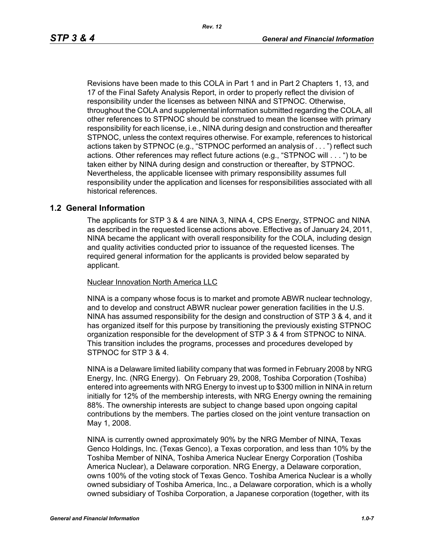Revisions have been made to this COLA in Part 1 and in Part 2 Chapters 1, 13, and 17 of the Final Safety Analysis Report, in order to properly reflect the division of responsibility under the licenses as between NINA and STPNOC. Otherwise, throughout the COLA and supplemental information submitted regarding the COLA, all other references to STPNOC should be construed to mean the licensee with primary responsibility for each license, i.e., NINA during design and construction and thereafter STPNOC, unless the context requires otherwise. For example, references to historical actions taken by STPNOC (e.g., "STPNOC performed an analysis of . . . ") reflect such actions. Other references may reflect future actions (e.g., "STPNOC will . . . ") to be taken either by NINA during design and construction or thereafter, by STPNOC. Nevertheless, the applicable licensee with primary responsibility assumes full responsibility under the application and licenses for responsibilities associated with all historical references.

#### **1.2 General Information**

The applicants for STP 3 & 4 are NINA 3, NINA 4, CPS Energy, STPNOC and NINA as described in the requested license actions above. Effective as of January 24, 2011, NINA became the applicant with overall responsibility for the COLA, including design and quality activities conducted prior to issuance of the requested licenses. The required general information for the applicants is provided below separated by applicant.

#### Nuclear Innovation North America LLC

NINA is a company whose focus is to market and promote ABWR nuclear technology, and to develop and construct ABWR nuclear power generation facilities in the U.S. NINA has assumed responsibility for the design and construction of STP 3 & 4, and it has organized itself for this purpose by transitioning the previously existing STPNOC organization responsible for the development of STP 3 & 4 from STPNOC to NINA. This transition includes the programs, processes and procedures developed by STPNOC for STP 3 & 4.

NINA is a Delaware limited liability company that was formed in February 2008 by NRG Energy, Inc. (NRG Energy). On February 29, 2008, Toshiba Corporation (Toshiba) entered into agreements with NRG Energy to invest up to \$300 million in NINA in return initially for 12% of the membership interests, with NRG Energy owning the remaining 88%. The ownership interests are subject to change based upon ongoing capital contributions by the members. The parties closed on the joint venture transaction on May 1, 2008.

NINA is currently owned approximately 90% by the NRG Member of NINA, Texas Genco Holdings, Inc. (Texas Genco), a Texas corporation, and less than 10% by the Toshiba Member of NINA, Toshiba America Nuclear Energy Corporation (Toshiba America Nuclear), a Delaware corporation. NRG Energy, a Delaware corporation, owns 100% of the voting stock of Texas Genco. Toshiba America Nuclear is a wholly owned subsidiary of Toshiba America, Inc., a Delaware corporation, which is a wholly owned subsidiary of Toshiba Corporation, a Japanese corporation (together, with its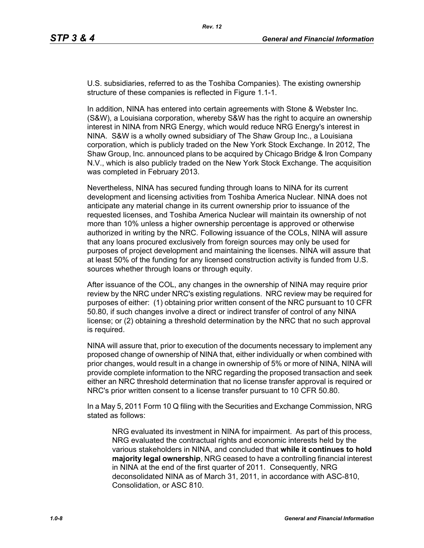U.S. subsidiaries, referred to as the Toshiba Companies). The existing ownership structure of these companies is reflected in Figure 1.1-1.

In addition, NINA has entered into certain agreements with Stone & Webster Inc. (S&W), a Louisiana corporation, whereby S&W has the right to acquire an ownership interest in NINA from NRG Energy, which would reduce NRG Energy's interest in NINA. S&W is a wholly owned subsidiary of The Shaw Group Inc., a Louisiana corporation, which is publicly traded on the New York Stock Exchange. In 2012, The Shaw Group, Inc. announced plans to be acquired by Chicago Bridge & Iron Company N.V., which is also publicly traded on the New York Stock Exchange. The acquisition was completed in February 2013.

Nevertheless, NINA has secured funding through loans to NINA for its current development and licensing activities from Toshiba America Nuclear. NINA does not anticipate any material change in its current ownership prior to issuance of the requested licenses, and Toshiba America Nuclear will maintain its ownership of not more than 10% unless a higher ownership percentage is approved or otherwise authorized in writing by the NRC. Following issuance of the COLs, NINA will assure that any loans procured exclusively from foreign sources may only be used for purposes of project development and maintaining the licenses. NINA will assure that at least 50% of the funding for any licensed construction activity is funded from U.S. sources whether through loans or through equity.

After issuance of the COL, any changes in the ownership of NINA may require prior review by the NRC under NRC's existing regulations. NRC review may be required for purposes of either: (1) obtaining prior written consent of the NRC pursuant to 10 CFR 50.80, if such changes involve a direct or indirect transfer of control of any NINA license; or (2) obtaining a threshold determination by the NRC that no such approval is required.

NINA will assure that, prior to execution of the documents necessary to implement any proposed change of ownership of NINA that, either individually or when combined with prior changes, would result in a change in ownership of 5% or more of NINA, NINA will provide complete information to the NRC regarding the proposed transaction and seek either an NRC threshold determination that no license transfer approval is required or NRC's prior written consent to a license transfer pursuant to 10 CFR 50.80.

In a May 5, 2011 Form 10 Q filing with the Securities and Exchange Commission, NRG stated as follows:

NRG evaluated its investment in NINA for impairment. As part of this process, NRG evaluated the contractual rights and economic interests held by the various stakeholders in NINA, and concluded that **while it continues to hold majority legal ownership**, NRG ceased to have a controlling financial interest in NINA at the end of the first quarter of 2011. Consequently, NRG deconsolidated NINA as of March 31, 2011, in accordance with ASC-810, Consolidation, or ASC 810.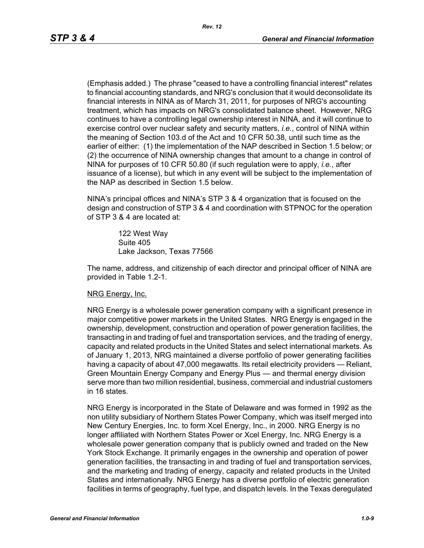(Emphasis added.) The phrase "ceased to have a controlling financial interest" relates to financial accounting standards, and NRG's conclusion that it would deconsolidate its financial interests in NINA as of March 31, 2011, for purposes of NRG's accounting treatment, which has impacts on NRG's consolidated balance sheet. However, NRG continues to have a controlling legal ownership interest in NINA, and it will continue to exercise control over nuclear safety and security matters, *i.e.*, control of NINA within the meaning of Section 103.d of the Act and 10 CFR 50.38, until such time as the earlier of either: (1) the implementation of the NAP described in Section 1.5 below; or (2) the occurrence of NINA ownership changes that amount to a change in control of NINA for purposes of 10 CFR 50.80 (if such regulation were to apply, *i.e.*, after issuance of a license), but which in any event will be subject to the implementation of the NAP as described in Section 1.5 below.

NINA's principal offices and NINA's STP 3 & 4 organization that is focused on the design and construction of STP 3 & 4 and coordination with STPNOC for the operation of STP 3 & 4 are located at:

> 122 West Way Suite 405 Lake Jackson, Texas 77566

The name, address, and citizenship of each director and principal officer of NINA are provided in Table 1.2-1.

#### NRG Energy, Inc.

NRG Energy is a wholesale power generation company with a significant presence in major competitive power markets in the United States. NRG Energy is engaged in the ownership, development, construction and operation of power generation facilities, the transacting in and trading of fuel and transportation services, and the trading of energy, capacity and related products in the United States and select international markets. As of January 1, 2013, NRG maintained a diverse portfolio of power generating facilities having a capacity of about 47,000 megawatts. Its retail electricity providers — Reliant, Green Mountain Energy Company and Energy Plus — and thermal energy division serve more than two million residential, business, commercial and industrial customers in 16 states.

NRG Energy is incorporated in the State of Delaware and was formed in 1992 as the non utility subsidiary of Northern States Power Company, which was itself merged into New Century Energies, Inc. to form Xcel Energy, Inc., in 2000. NRG Energy is no longer affiliated with Northern States Power or Xcel Energy, Inc. NRG Energy is a wholesale power generation company that is publicly owned and traded on the New York Stock Exchange. It primarily engages in the ownership and operation of power generation facilities, the transacting in and trading of fuel and transportation services, and the marketing and trading of energy, capacity and related products in the United States and internationally. NRG Energy has a diverse portfolio of electric generation facilities in terms of geography, fuel type, and dispatch levels. In the Texas deregulated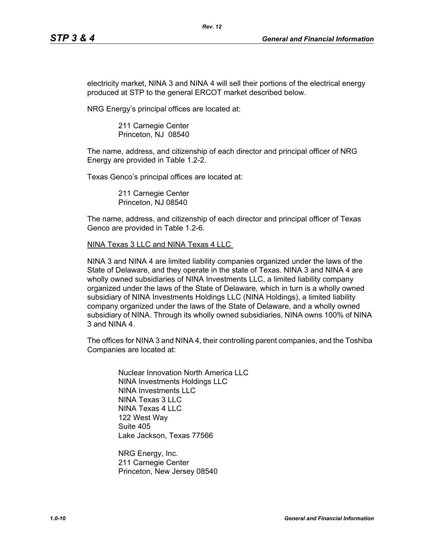electricity market, NINA 3 and NINA 4 will sell their portions of the electrical energy produced at STP to the general ERCOT market described below.

*Rev. 12*

NRG Energy's principal offices are located at:

211 Carnegie Center Princeton, NJ 08540

The name, address, and citizenship of each director and principal officer of NRG Energy are provided in Table 1.2-2.

Texas Genco's principal offices are located at:

211 Carnegie Center Princeton, NJ 08540

The name, address, and citizenship of each director and principal officer of Texas Genco are provided in Table 1.2-6.

NINA Texas 3 LLC and NINA Texas 4 LLC

NINA 3 and NINA 4 are limited liability companies organized under the laws of the State of Delaware, and they operate in the state of Texas. NINA 3 and NINA 4 are wholly owned subsidiaries of NINA Investments LLC, a limited liability company organized under the laws of the State of Delaware, which in turn is a wholly owned subsidiary of NINA Investments Holdings LLC (NINA Holdings), a limited liability company organized under the laws of the State of Delaware, and a wholly owned subsidiary of NINA. Through its wholly owned subsidiaries, NINA owns 100% of NINA 3 and NINA 4.

The offices for NINA 3 and NINA 4, their controlling parent companies, and the Toshiba Companies are located at:

Nuclear Innovation North America LLC NINA Investments Holdings LLC NINA Investments LLC NINA Texas 3 LLC NINA Texas 4 LLC 122 West Way Suite 405 Lake Jackson, Texas 77566

NRG Energy, Inc. 211 Carnegie Center Princeton, New Jersey 08540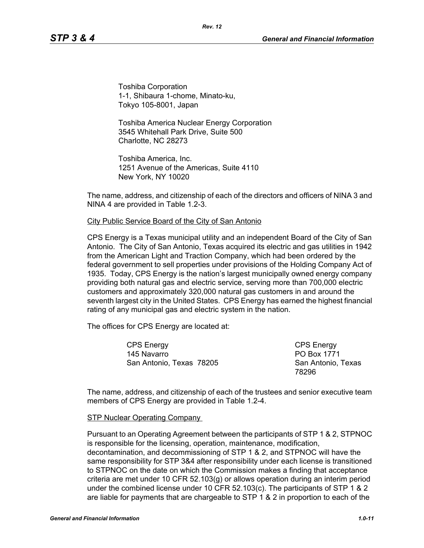Toshiba Corporation 1-1, Shibaura 1-chome, Minato-ku, Tokyo 105-8001, Japan

Toshiba America Nuclear Energy Corporation 3545 Whitehall Park Drive, Suite 500 Charlotte, NC 28273

Toshiba America, Inc. 1251 Avenue of the Americas, Suite 4110 New York, NY 10020

The name, address, and citizenship of each of the directors and officers of NINA 3 and NINA 4 are provided in Table 1.2-3.

#### City Public Service Board of the City of San Antonio

CPS Energy is a Texas municipal utility and an independent Board of the City of San Antonio. The City of San Antonio, Texas acquired its electric and gas utilities in 1942 from the American Light and Traction Company, which had been ordered by the federal government to sell properties under provisions of the Holding Company Act of 1935. Today, CPS Energy is the nation's largest municipally owned energy company providing both natural gas and electric service, serving more than 700,000 electric customers and approximately 320,000 natural gas customers in and around the seventh largest city in the United States. CPS Energy has earned the highest financial rating of any municipal gas and electric system in the nation.

The offices for CPS Energy are located at:

CPS Energy 145 Navarro San Antonio, Texas 78205

CPS Energy PO Box 1771 San Antonio, Texas 78296

The name, address, and citizenship of each of the trustees and senior executive team members of CPS Energy are provided in Table 1.2-4.

#### STP Nuclear Operating Company

Pursuant to an Operating Agreement between the participants of STP 1 & 2, STPNOC is responsible for the licensing, operation, maintenance, modification, decontamination, and decommissioning of STP 1 & 2, and STPNOC will have the same responsibility for STP 3&4 after responsibility under each license is transitioned to STPNOC on the date on which the Commission makes a finding that acceptance criteria are met under 10 CFR 52.103(g) or allows operation during an interim period under the combined license under 10 CFR 52.103(c). The participants of STP 1 & 2 are liable for payments that are chargeable to STP 1 & 2 in proportion to each of the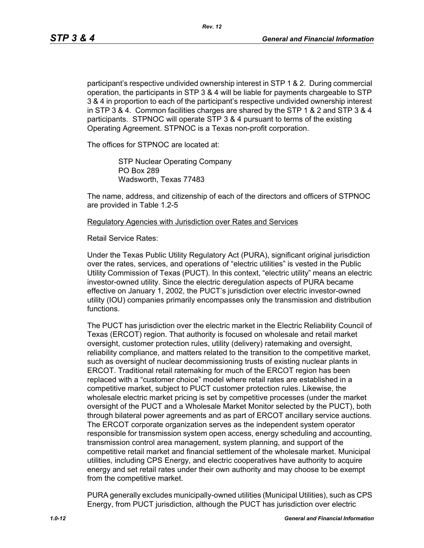participant's respective undivided ownership interest in STP 1 & 2. During commercial operation, the participants in STP 3 & 4 will be liable for payments chargeable to STP 3 & 4 in proportion to each of the participant's respective undivided ownership interest in STP 3 & 4. Common facilities charges are shared by the STP 1 & 2 and STP 3 & 4 participants. STPNOC will operate STP 3 & 4 pursuant to terms of the existing Operating Agreement. STPNOC is a Texas non-profit corporation.

The offices for STPNOC are located at:

STP Nuclear Operating Company PO Box 289 Wadsworth, Texas 77483

The name, address, and citizenship of each of the directors and officers of STPNOC are provided in Table 1.2-5

Regulatory Agencies with Jurisdiction over Rates and Services

Retail Service Rates:

Under the Texas Public Utility Regulatory Act (PURA), significant original jurisdiction over the rates, services, and operations of "electric utilities" is vested in the Public Utility Commission of Texas (PUCT). In this context, "electric utility" means an electric investor-owned utility. Since the electric deregulation aspects of PURA became effective on January 1, 2002, the PUCT's jurisdiction over electric investor-owned utility (IOU) companies primarily encompasses only the transmission and distribution functions.

The PUCT has jurisdiction over the electric market in the Electric Reliability Council of Texas (ERCOT) region. That authority is focused on wholesale and retail market oversight, customer protection rules, utility (delivery) ratemaking and oversight, reliability compliance, and matters related to the transition to the competitive market, such as oversight of nuclear decommissioning trusts of existing nuclear plants in ERCOT. Traditional retail ratemaking for much of the ERCOT region has been replaced with a "customer choice" model where retail rates are established in a competitive market, subject to PUCT customer protection rules. Likewise, the wholesale electric market pricing is set by competitive processes (under the market oversight of the PUCT and a Wholesale Market Monitor selected by the PUCT), both through bilateral power agreements and as part of ERCOT ancillary service auctions. The ERCOT corporate organization serves as the independent system operator responsible for transmission system open access, energy scheduling and accounting, transmission control area management, system planning, and support of the competitive retail market and financial settlement of the wholesale market. Municipal utilities, including CPS Energy, and electric cooperatives have authority to acquire energy and set retail rates under their own authority and may choose to be exempt from the competitive market.

PURA generally excludes municipally-owned utilities (Municipal Utilities), such as CPS Energy, from PUCT jurisdiction, although the PUCT has jurisdiction over electric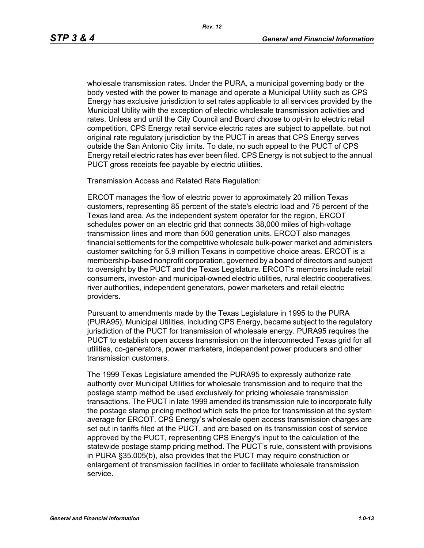wholesale transmission rates. Under the PURA, a municipal governing body or the body vested with the power to manage and operate a Municipal Utility such as CPS Energy has exclusive jurisdiction to set rates applicable to all services provided by the Municipal Utility with the exception of electric wholesale transmission activities and rates. Unless and until the City Council and Board choose to opt-in to electric retail competition, CPS Energy retail service electric rates are subject to appellate, but not original rate regulatory jurisdiction by the PUCT in areas that CPS Energy serves outside the San Antonio City limits. To date, no such appeal to the PUCT of CPS Energy retail electric rates has ever been filed. CPS Energy is not subject to the annual PUCT gross receipts fee payable by electric utilities.

Transmission Access and Related Rate Regulation:

ERCOT manages the flow of electric power to approximately 20 million Texas customers, representing 85 percent of the state's electric load and 75 percent of the Texas land area. As the independent system operator for the region, ERCOT schedules power on an electric grid that connects 38,000 miles of high-voltage transmission lines and more than 500 generation units. ERCOT also manages financial settlements for the competitive wholesale bulk-power market and administers customer switching for 5.9 million Texans in competitive choice areas. ERCOT is a membership-based nonprofit corporation, governed by a board of directors and subject to oversight by the PUCT and the Texas Legislature. ERCOT's members include retail consumers, investor- and municipal-owned electric utilities, rural electric cooperatives, river authorities, independent generators, power marketers and retail electric providers.

Pursuant to amendments made by the Texas Legislature in 1995 to the PURA (PURA95), Municipal Utilities, including CPS Energy, became subject to the regulatory jurisdiction of the PUCT for transmission of wholesale energy. PURA95 requires the PUCT to establish open access transmission on the interconnected Texas grid for all utilities, co-generators, power marketers, independent power producers and other transmission customers.

The 1999 Texas Legislature amended the PURA95 to expressly authorize rate authority over Municipal Utilities for wholesale transmission and to require that the postage stamp method be used exclusively for pricing wholesale transmission transactions. The PUCT in late 1999 amended its transmission rule to incorporate fully the postage stamp pricing method which sets the price for transmission at the system average for ERCOT. CPS Energy's wholesale open access transmission charges are set out in tariffs filed at the PUCT, and are based on its transmission cost of service approved by the PUCT, representing CPS Energy's input to the calculation of the statewide postage stamp pricing method. The PUCT's rule, consistent with provisions in PURA §35.005(b), also provides that the PUCT may require construction or enlargement of transmission facilities in order to facilitate wholesale transmission service.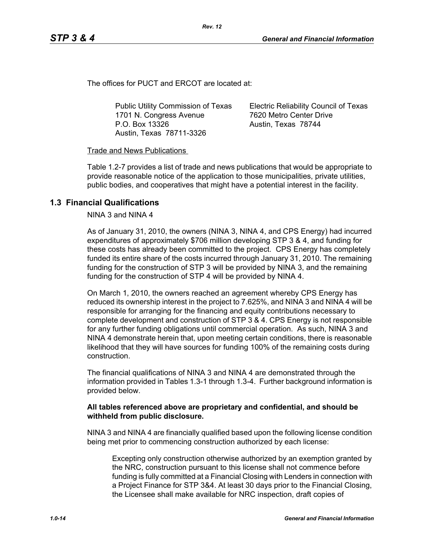The offices for PUCT and ERCOT are located at:

Public Utility Commission of Texas 1701 N. Congress Avenue P.O. Box 13326 Austin, Texas 78711-3326

Electric Reliability Council of Texas 7620 Metro Center Drive Austin, Texas 78744

#### Trade and News Publications

Table 1.2-7 provides a list of trade and news publications that would be appropriate to provide reasonable notice of the application to those municipalities, private utilities, public bodies, and cooperatives that might have a potential interest in the facility.

*Rev. 12*

### **1.3 Financial Qualifications**

NINA 3 and NINA 4

As of January 31, 2010, the owners (NINA 3, NINA 4, and CPS Energy) had incurred expenditures of approximately \$706 million developing STP 3 & 4, and funding for these costs has already been committed to the project. CPS Energy has completely funded its entire share of the costs incurred through January 31, 2010. The remaining funding for the construction of STP 3 will be provided by NINA 3, and the remaining funding for the construction of STP 4 will be provided by NINA 4.

On March 1, 2010, the owners reached an agreement whereby CPS Energy has reduced its ownership interest in the project to 7.625%, and NINA 3 and NINA 4 will be responsible for arranging for the financing and equity contributions necessary to complete development and construction of STP 3 & 4. CPS Energy is not responsible for any further funding obligations until commercial operation. As such, NINA 3 and NINA 4 demonstrate herein that, upon meeting certain conditions, there is reasonable likelihood that they will have sources for funding 100% of the remaining costs during construction.

The financial qualifications of NINA 3 and NINA 4 are demonstrated through the information provided in Tables 1.3-1 through 1.3-4. Further background information is provided below.

#### **All tables referenced above are proprietary and confidential, and should be withheld from public disclosure.**

NINA 3 and NINA 4 are financially qualified based upon the following license condition being met prior to commencing construction authorized by each license:

Excepting only construction otherwise authorized by an exemption granted by the NRC, construction pursuant to this license shall not commence before funding is fully committed at a Financial Closing with Lenders in connection with a Project Finance for STP 3&4. At least 30 days prior to the Financial Closing, the Licensee shall make available for NRC inspection, draft copies of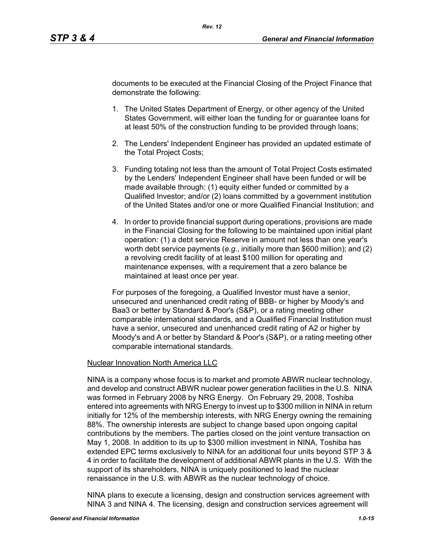documents to be executed at the Financial Closing of the Project Finance that demonstrate the following:

- 1. The United States Department of Energy, or other agency of the United States Government, will either loan the funding for or guarantee loans for at least 50% of the construction funding to be provided through loans;
- 2. The Lenders' Independent Engineer has provided an updated estimate of the Total Project Costs;
- 3. Funding totaling not less than the amount of Total Project Costs estimated by the Lenders' Independent Engineer shall have been funded or will be made available through: (1) equity either funded or committed by a Qualified Investor; and/or (2) loans committed by a government institution of the United States and/or one or more Qualified Financial Institution; and
- 4. In order to provide financial support during operations, provisions are made in the Financial Closing for the following to be maintained upon initial plant operation: (1) a debt service Reserve in amount not less than one year's worth debt service payments (*e.g.,* initially more than \$600 million); and (2) a revolving credit facility of at least \$100 million for operating and maintenance expenses, with a requirement that a zero balance be maintained at least once per year.

For purposes of the foregoing, a Qualified Investor must have a senior, unsecured and unenhanced credit rating of BBB- or higher by Moody's and Baa3 or better by Standard & Poor's (S&P), or a rating meeting other comparable international standards, and a Qualified Financial Institution must have a senior, unsecured and unenhanced credit rating of A2 or higher by Moody's and A or better by Standard & Poor's (S&P), or a rating meeting other comparable international standards.

#### Nuclear Innovation North America LLC

NINA is a company whose focus is to market and promote ABWR nuclear technology, and develop and construct ABWR nuclear power generation facilities in the U.S. NINA was formed in February 2008 by NRG Energy. On February 29, 2008, Toshiba entered into agreements with NRG Energy to invest up to \$300 million in NINA in return initially for 12% of the membership interests, with NRG Energy owning the remaining 88%. The ownership interests are subject to change based upon ongoing capital contributions by the members. The parties closed on the joint venture transaction on May 1, 2008. In addition to its up to \$300 million investment in NINA, Toshiba has extended EPC terms exclusively to NINA for an additional four units beyond STP 3 & 4 in order to facilitate the development of additional ABWR plants in the U.S. With the support of its shareholders, NINA is uniquely positioned to lead the nuclear renaissance in the U.S. with ABWR as the nuclear technology of choice.

NINA plans to execute a licensing, design and construction services agreement with NINA 3 and NINA 4. The licensing, design and construction services agreement will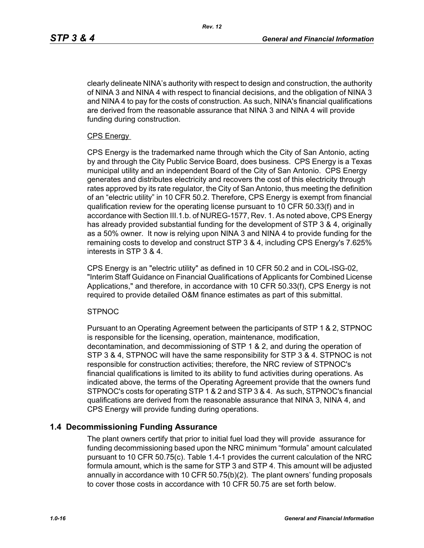clearly delineate NINA's authority with respect to design and construction, the authority of NINA 3 and NINA 4 with respect to financial decisions, and the obligation of NINA 3 and NINA 4 to pay for the costs of construction. As such, NINA's financial qualifications are derived from the reasonable assurance that NINA 3 and NINA 4 will provide funding during construction.

#### CPS Energy

CPS Energy is the trademarked name through which the City of San Antonio, acting by and through the City Public Service Board, does business. CPS Energy is a Texas municipal utility and an independent Board of the City of San Antonio. CPS Energy generates and distributes electricity and recovers the cost of this electricity through rates approved by its rate regulator, the City of San Antonio, thus meeting the definition of an "electric utility" in 10 CFR 50.2. Therefore, CPS Energy is exempt from financial qualification review for the operating license pursuant to 10 CFR 50.33(f) and in accordance with Section III.1.b. of NUREG-1577, Rev. 1. As noted above, CPS Energy has already provided substantial funding for the development of STP 3 & 4, originally as a 50% owner. It now is relying upon NINA 3 and NINA 4 to provide funding for the remaining costs to develop and construct STP 3 & 4, including CPS Energy's 7.625% interests in STP 3 & 4.

CPS Energy is an "electric utility" as defined in 10 CFR 50.2 and in COL-ISG-02, "Interim Staff Guidance on Financial Qualifications of Applicants for Combined License Applications," and therefore, in accordance with 10 CFR 50.33(f), CPS Energy is not required to provide detailed O&M finance estimates as part of this submittal.

#### **STPNOC**

Pursuant to an Operating Agreement between the participants of STP 1 & 2, STPNOC is responsible for the licensing, operation, maintenance, modification, decontamination, and decommissioning of STP 1 & 2, and during the operation of STP 3 & 4, STPNOC will have the same responsibility for STP 3 & 4. STPNOC is not responsible for construction activities; therefore, the NRC review of STPNOC's financial qualifications is limited to its ability to fund activities during operations. As indicated above, the terms of the Operating Agreement provide that the owners fund STPNOC's costs for operating STP 1 & 2 and STP 3 & 4. As such, STPNOC's financial qualifications are derived from the reasonable assurance that NINA 3, NINA 4, and CPS Energy will provide funding during operations.

### **1.4 Decommissioning Funding Assurance**

The plant owners certify that prior to initial fuel load they will provide assurance for funding decommissioning based upon the NRC minimum "formula" amount calculated pursuant to 10 CFR 50.75(c). Table 1.4-1 provides the current calculation of the NRC formula amount, which is the same for STP 3 and STP 4. This amount will be adjusted annually in accordance with 10 CFR 50.75(b)(2). The plant owners' funding proposals to cover those costs in accordance with 10 CFR 50.75 are set forth below.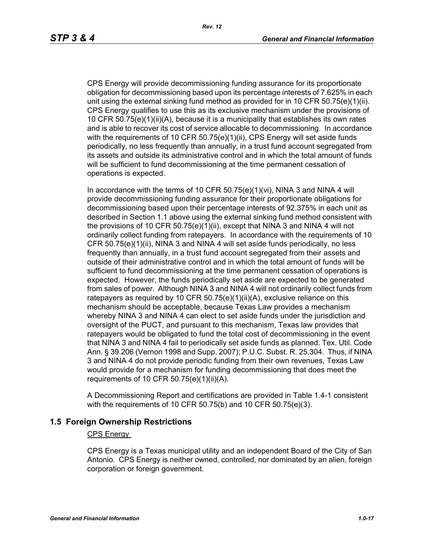CPS Energy will provide decommissioning funding assurance for its proportionate obligation for decommissioning based upon its percentage interests of 7.625% in each unit using the external sinking fund method as provided for in 10 CFR 50.75(e)(1)(ii). CPS Energy qualifies to use this as its exclusive mechanism under the provisions of 10 CFR 50.75(e)(1)(ii)(A), because it is a municipality that establishes its own rates and is able to recover its cost of service allocable to decommissioning. In accordance with the requirements of 10 CFR 50.75(e)(1)(ii), CPS Energy will set aside funds periodically, no less frequently than annually, in a trust fund account segregated from its assets and outside its administrative control and in which the total amount of funds will be sufficient to fund decommissioning at the time permanent cessation of operations is expected.

In accordance with the terms of 10 CFR  $50.75(e)(1)(vi)$ , NINA 3 and NINA 4 will provide decommissioning funding assurance for their proportionate obligations for decommissioning based upon their percentage interests of 92.375% in each unit as described in Section 1.1 above using the external sinking fund method consistent with the provisions of 10 CFR 50.75(e)(1)(ii), except that NINA 3 and NINA 4 will not ordinarily collect funding from ratepayers. In accordance with the requirements of 10 CFR 50.75(e)(1)(ii), NINA 3 and NINA 4 will set aside funds periodically, no less frequently than annually, in a trust fund account segregated from their assets and outside of their administrative control and in which the total amount of funds will be sufficient to fund decommissioning at the time permanent cessation of operations is expected. However, the funds periodically set aside are expected to be generated from sales of power. Although NINA 3 and NINA 4 will not ordinarily collect funds from ratepayers as required by 10 CFR  $50.75(e)(1)(ii)(A)$ , exclusive reliance on this mechanism should be acceptable, because Texas Law provides a mechanism whereby NINA 3 and NINA 4 can elect to set aside funds under the jurisdiction and oversight of the PUCT, and pursuant to this mechanism, Texas law provides that ratepayers would be obligated to fund the total cost of decommissioning in the event that NINA 3 and NINA 4 fail to periodically set aside funds as planned. Tex. Util. Code Ann. § 39.206 (Vernon 1998 and Supp. 2007); P.U.C. Subst. R. 25.304. Thus, if NINA 3 and NINA 4 do not provide periodic funding from their own revenues, Texas Law would provide for a mechanism for funding decommissioning that does meet the requirements of 10 CFR  $50.75(e)(1)(ii)(A)$ .

A Decommissioning Report and certifications are provided in Table 1.4-1 consistent with the requirements of 10 CFR 50.75(b) and 10 CFR 50.75(e)(3).

### **1.5 Foreign Ownership Restrictions**

#### CPS Energy

CPS Energy is a Texas municipal utility and an independent Board of the City of San Antonio. CPS Energy is neither owned, controlled, nor dominated by an alien, foreign corporation or foreign government.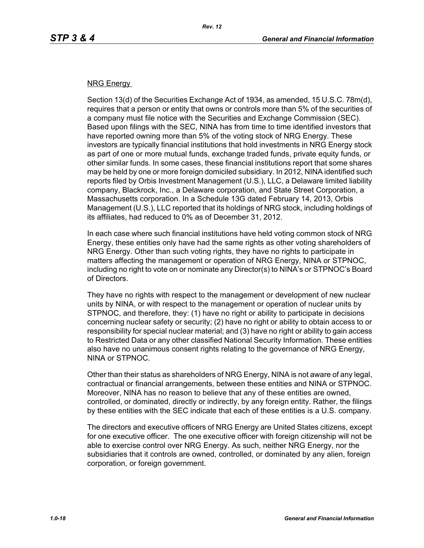#### NRG Energy

Section 13(d) of the Securities Exchange Act of 1934, as amended, 15 U.S.C. 78m(d), requires that a person or entity that owns or controls more than 5% of the securities of a company must file notice with the Securities and Exchange Commission (SEC). Based upon filings with the SEC, NINA has from time to time identified investors that have reported owning more than 5% of the voting stock of NRG Energy. These investors are typically financial institutions that hold investments in NRG Energy stock as part of one or more mutual funds, exchange traded funds, private equity funds, or other similar funds. In some cases, these financial institutions report that some shares may be held by one or more foreign domiciled subsidiary. In 2012, NINA identified such reports filed by Orbis Investment Management (U.S.), LLC, a Delaware limited liability company, Blackrock, Inc., a Delaware corporation, and State Street Corporation, a Massachusetts corporation. In a Schedule 13G dated February 14, 2013, Orbis Management (U.S.), LLC reported that its holdings of NRG stock, including holdings of its affiliates, had reduced to 0% as of December 31, 2012.

In each case where such financial institutions have held voting common stock of NRG Energy, these entities only have had the same rights as other voting shareholders of NRG Energy. Other than such voting rights, they have no rights to participate in matters affecting the management or operation of NRG Energy, NINA or STPNOC, including no right to vote on or nominate any Director(s) to NINA's or STPNOC's Board of Directors.

They have no rights with respect to the management or development of new nuclear units by NINA, or with respect to the management or operation of nuclear units by STPNOC, and therefore, they: (1) have no right or ability to participate in decisions concerning nuclear safety or security; (2) have no right or ability to obtain access to or responsibility for special nuclear material; and (3) have no right or ability to gain access to Restricted Data or any other classified National Security Information. These entities also have no unanimous consent rights relating to the governance of NRG Energy, NINA or STPNOC.

Other than their status as shareholders of NRG Energy, NINA is not aware of any legal, contractual or financial arrangements, between these entities and NINA or STPNOC. Moreover, NINA has no reason to believe that any of these entities are owned, controlled, or dominated, directly or indirectly, by any foreign entity. Rather, the filings by these entities with the SEC indicate that each of these entities is a U.S. company.

The directors and executive officers of NRG Energy are United States citizens, except for one executive officer. The one executive officer with foreign citizenship will not be able to exercise control over NRG Energy. As such, neither NRG Energy, nor the subsidiaries that it controls are owned, controlled, or dominated by any alien, foreign corporation, or foreign government.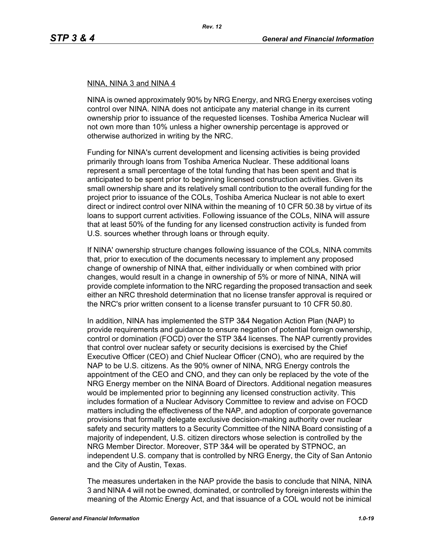#### NINA, NINA 3 and NINA 4

NINA is owned approximately 90% by NRG Energy, and NRG Energy exercises voting control over NINA. NINA does not anticipate any material change in its current ownership prior to issuance of the requested licenses. Toshiba America Nuclear will not own more than 10% unless a higher ownership percentage is approved or otherwise authorized in writing by the NRC.

Funding for NINA's current development and licensing activities is being provided primarily through loans from Toshiba America Nuclear. These additional loans represent a small percentage of the total funding that has been spent and that is anticipated to be spent prior to beginning licensed construction activities. Given its small ownership share and its relatively small contribution to the overall funding for the project prior to issuance of the COLs, Toshiba America Nuclear is not able to exert direct or indirect control over NINA within the meaning of 10 CFR 50.38 by virtue of its loans to support current activities. Following issuance of the COLs, NINA will assure that at least 50% of the funding for any licensed construction activity is funded from U.S. sources whether through loans or through equity.

If NINA' ownership structure changes following issuance of the COLs, NINA commits that, prior to execution of the documents necessary to implement any proposed change of ownership of NINA that, either individually or when combined with prior changes, would result in a change in ownership of 5% or more of NINA, NINA will provide complete information to the NRC regarding the proposed transaction and seek either an NRC threshold determination that no license transfer approval is required or the NRC's prior written consent to a license transfer pursuant to 10 CFR 50.80.

In addition, NINA has implemented the STP 3&4 Negation Action Plan (NAP) to provide requirements and guidance to ensure negation of potential foreign ownership, control or domination (FOCD) over the STP 3&4 licenses. The NAP currently provides that control over nuclear safety or security decisions is exercised by the Chief Executive Officer (CEO) and Chief Nuclear Officer (CNO), who are required by the NAP to be U.S. citizens. As the 90% owner of NINA, NRG Energy controls the appointment of the CEO and CNO, and they can only be replaced by the vote of the NRG Energy member on the NINA Board of Directors. Additional negation measures would be implemented prior to beginning any licensed construction activity. This includes formation of a Nuclear Advisory Committee to review and advise on FOCD matters including the effectiveness of the NAP, and adoption of corporate governance provisions that formally delegate exclusive decision-making authority over nuclear safety and security matters to a Security Committee of the NINA Board consisting of a majority of independent, U.S. citizen directors whose selection is controlled by the NRG Member Director. Moreover, STP 3&4 will be operated by STPNOC, an independent U.S. company that is controlled by NRG Energy, the City of San Antonio and the City of Austin, Texas.

The measures undertaken in the NAP provide the basis to conclude that NINA, NINA 3 and NINA 4 will not be owned, dominated, or controlled by foreign interests within the meaning of the Atomic Energy Act, and that issuance of a COL would not be inimical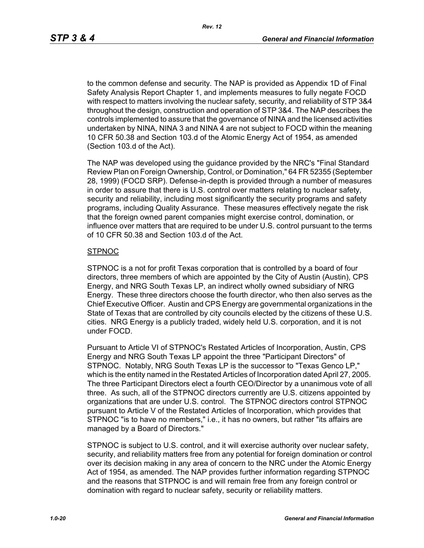to the common defense and security. The NAP is provided as Appendix 1D of Final Safety Analysis Report Chapter 1, and implements measures to fully negate FOCD with respect to matters involving the nuclear safety, security, and reliability of STP 3&4 throughout the design, construction and operation of STP 3&4. The NAP describes the controls implemented to assure that the governance of NINA and the licensed activities undertaken by NINA, NINA 3 and NINA 4 are not subject to FOCD within the meaning 10 CFR 50.38 and Section 103.d of the Atomic Energy Act of 1954, as amended (Section 103.d of the Act).

The NAP was developed using the guidance provided by the NRC's "Final Standard Review Plan on Foreign Ownership, Control, or Domination," 64 FR 52355 (September 28, 1999) (FOCD SRP). Defense-in-depth is provided through a number of measures in order to assure that there is U.S. control over matters relating to nuclear safety, security and reliability, including most significantly the security programs and safety programs, including Quality Assurance. These measures effectively negate the risk that the foreign owned parent companies might exercise control, domination, or influence over matters that are required to be under U.S. control pursuant to the terms of 10 CFR 50.38 and Section 103.d of the Act.

#### **STPNOC**

STPNOC is a not for profit Texas corporation that is controlled by a board of four directors, three members of which are appointed by the City of Austin (Austin), CPS Energy, and NRG South Texas LP, an indirect wholly owned subsidiary of NRG Energy. These three directors choose the fourth director, who then also serves as the Chief Executive Officer. Austin and CPS Energy are governmental organizations in the State of Texas that are controlled by city councils elected by the citizens of these U.S. cities. NRG Energy is a publicly traded, widely held U.S. corporation, and it is not under FOCD.

Pursuant to Article VI of STPNOC's Restated Articles of Incorporation, Austin, CPS Energy and NRG South Texas LP appoint the three "Participant Directors" of STPNOC. Notably, NRG South Texas LP is the successor to "Texas Genco LP," which is the entity named in the Restated Articles of Incorporation dated April 27, 2005. The three Participant Directors elect a fourth CEO/Director by a unanimous vote of all three. As such, all of the STPNOC directors currently are U.S. citizens appointed by organizations that are under U.S. control. The STPNOC directors control STPNOC pursuant to Article V of the Restated Articles of Incorporation, which provides that STPNOC "is to have no members," i.e., it has no owners, but rather "its affairs are managed by a Board of Directors."

STPNOC is subject to U.S. control, and it will exercise authority over nuclear safety, security, and reliability matters free from any potential for foreign domination or control over its decision making in any area of concern to the NRC under the Atomic Energy Act of 1954, as amended. The NAP provides further information regarding STPNOC and the reasons that STPNOC is and will remain free from any foreign control or domination with regard to nuclear safety, security or reliability matters.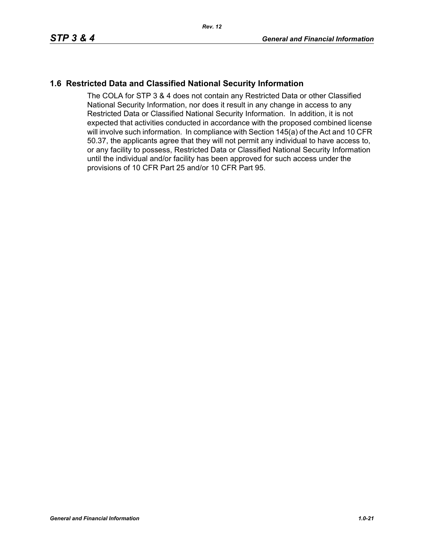# **1.6 Restricted Data and Classified National Security Information**

The COLA for STP 3 & 4 does not contain any Restricted Data or other Classified National Security Information, nor does it result in any change in access to any Restricted Data or Classified National Security Information. In addition, it is not expected that activities conducted in accordance with the proposed combined license will involve such information. In compliance with Section 145(a) of the Act and 10 CFR 50.37, the applicants agree that they will not permit any individual to have access to, or any facility to possess, Restricted Data or Classified National Security Information until the individual and/or facility has been approved for such access under the provisions of 10 CFR Part 25 and/or 10 CFR Part 95.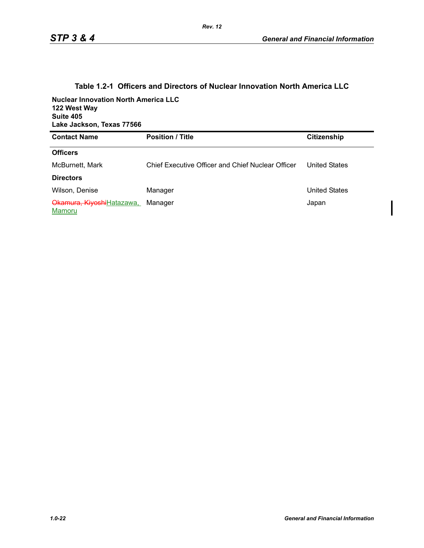| <b>Nuclear Innovation North America LLC</b><br>122 West Way<br>Suite 405<br>Lake Jackson, Texas 77566 |                                                   |                      |
|-------------------------------------------------------------------------------------------------------|---------------------------------------------------|----------------------|
| <b>Contact Name</b>                                                                                   | <b>Position / Title</b>                           | <b>Citizenship</b>   |
| <b>Officers</b>                                                                                       |                                                   |                      |
| McBurnett, Mark                                                                                       | Chief Executive Officer and Chief Nuclear Officer | <b>United States</b> |
| <b>Directors</b>                                                                                      |                                                   |                      |
| Wilson, Denise                                                                                        | Manager                                           | <b>United States</b> |
| Okamura, KiyoshiHatazawa,<br>Mamoru                                                                   | Manager                                           | Japan                |

#### **Table 1.2-1 Officers and Directors of Nuclear Innovation North America LLC**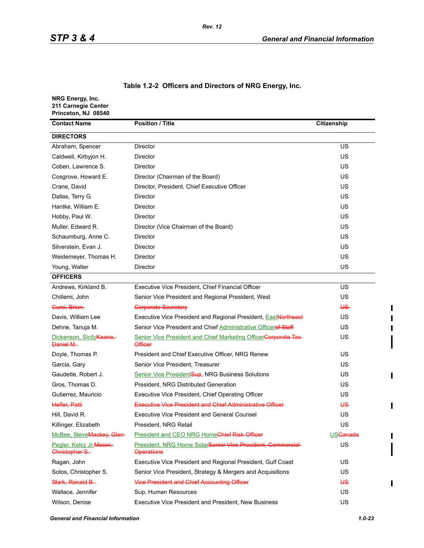| Table 1.2-2 Officers and Directors of NRG Energy, Inc. |  |  |  |  |  |  |
|--------------------------------------------------------|--|--|--|--|--|--|
|--------------------------------------------------------|--|--|--|--|--|--|

| NRG Energy, Inc.<br>211 Carnegie Center<br>Princeton, NJ 08540 |                                                                                   |                            |
|----------------------------------------------------------------|-----------------------------------------------------------------------------------|----------------------------|
| <b>Contact Name</b>                                            | <b>Position / Title</b>                                                           | Citizenship                |
| <b>DIRECTORS</b>                                               |                                                                                   |                            |
| Abraham, Spencer                                               | Director                                                                          | US                         |
| Caldwell, Kirbyjon H.                                          | Director                                                                          | US                         |
| Coben, Lawrence S.                                             | Director                                                                          | US                         |
| Cosgrove, Howard E.                                            | Director (Chairman of the Board)                                                  | US                         |
| Crane, David                                                   | Director, President, Chief Executive Officer                                      | US                         |
| Dallas, Terry G.                                               | Director                                                                          | US                         |
| Hantke, William E.                                             | Director                                                                          | US                         |
| Hobby, Paul W.                                                 | Director                                                                          | US                         |
| Muller, Edward R.                                              | Director (Vice Chairman of the Board)                                             | US                         |
| Schaumburg, Anne C.                                            | <b>Director</b>                                                                   | US                         |
| Silverstein, Evan J.                                           | Director                                                                          | US                         |
| Weidemeyer, Thomas H.                                          | Director                                                                          | US                         |
| Young, Walter                                                  | Director                                                                          | US                         |
| <b>OFFICERS</b>                                                |                                                                                   |                            |
| Andrews, Kirkland B.                                           | Executive Vice President, Chief Financial Officer                                 | US                         |
| Chillemi, John                                                 | Senior Vice President and Regional President, West                                | <b>US</b>                  |
| Curci, Brian                                                   | <b>Corporate Secretary</b>                                                        | US-                        |
| Davis, William Lee                                             | Executive Vice President and Regional President, <b>East Northeast</b>            | <b>US</b>                  |
| Dehne, Tanuja M.                                               | Senior Vice President and Chief Administrative Officeref Staff                    | US                         |
| Dickenson, Sicily Keane,<br>Daniel M.                          | Senior Vice President and Chief Marketing OfficerCorporate Tax-<br><b>Officer</b> | US                         |
| Doyle, Thomas P.                                               | President and Chief Executive Officer, NRG Renew                                  | US                         |
| Garcia, Gary                                                   | Senior Vice President, Treasurer                                                  | <b>US</b>                  |
| Gaudette, Robert J.                                            | <b>Senior Vice President Sup, NRG Business Solutions</b>                          | US                         |
| Gros, Thomas D.                                                | President, NRG Distributed Generation                                             | US                         |
| Gutierrez, Mauricio                                            | Executive Vice President, Chief Operating Officer                                 | US                         |
| Helfer, Patti                                                  | <b>Executive Vice President and Chief Administrative Officer</b>                  | ₩                          |
| Hill, David R.                                                 | <b>Executive Vice President and General Counsel</b>                               | US                         |
| Killinger, Elizabeth                                           | President, NRG Retail                                                             | US                         |
| McBee, SteveMackey, Glen-                                      | President and CEO NRG HomeChief Risk Officer                                      | <b>US<del>Canada</del></b> |
| Pegler, Kelcy Jr. Moser,<br>Christopher S.                     | President, NRG Home Solar Senior Vice President, Commercial-<br><b>Operations</b> | US                         |
| Ragan, John                                                    | Executive Vice President and Regional President, Gulf Coast                       | <b>US</b>                  |
| Sotos, Christopher S.                                          | Senior Vice President, Strategy & Mergers and Acquisitions                        | US                         |
| Stark, Ronald B.                                               | <b>Vice President and Chief Accounting Officer</b>                                | <b>US</b>                  |
| Wallace, Jennifer                                              | Sup, Human Resources                                                              | US                         |
| Wilson, Denise                                                 | Executive Vice President and President, New Business                              | US                         |

 $\blacksquare$  $\blacksquare$  $\mathbf I$ 

 $\blacksquare$ 

 $\mathbf{I}$ 

 $\blacksquare$ 

 $\blacksquare$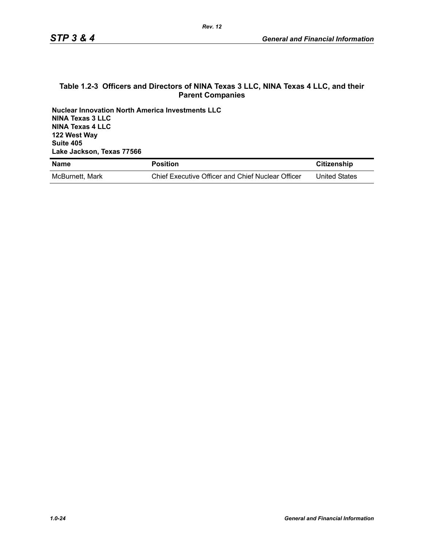#### **Table 1.2-3 Officers and Directors of NINA Texas 3 LLC, NINA Texas 4 LLC, and their Parent Companies**

**Nuclear Innovation North America Investments LLC NINA Texas 3 LLC NINA Texas 4 LLC 122 West Way Suite 405 Lake Jackson, Texas 77566**

| <b>Name</b>     | <b>Position</b>                                   | Citizenship          |
|-----------------|---------------------------------------------------|----------------------|
| McBurnett, Mark | Chief Executive Officer and Chief Nuclear Officer | <b>United States</b> |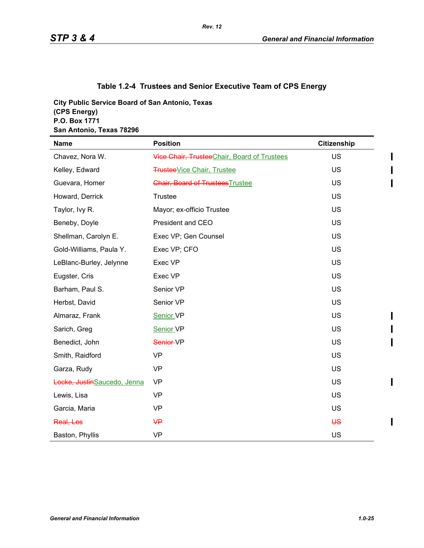# **Table 1.2-4 Trustees and Senior Executive Team of CPS Energy**

**City Public Service Board of San Antonio, Texas (CPS Energy) P.O. Box 1771 San Antonio, Texas 78296**

| <b>Name</b>                 | <b>Position</b>                             | Citizenship |
|-----------------------------|---------------------------------------------|-------------|
| Chavez, Nora W.             | Vice Chair, TrusteeChair, Board of Trustees | <b>US</b>   |
| Kelley, Edward              | <b>Trustee</b> Vice Chair, Trustee          | <b>US</b>   |
| Guevara, Homer              | <b>Chair, Board of Trustees Trustee</b>     | <b>US</b>   |
| Howard, Derrick             | Trustee                                     | US          |
| Taylor, Ivy R.              | Mayor; ex-officio Trustee                   | <b>US</b>   |
| Beneby, Doyle               | President and CEO                           | US          |
| Shellman, Carolyn E.        | Exec VP; Gen Counsel                        | US          |
| Gold-Williams, Paula Y.     | Exec VP; CFO                                | <b>US</b>   |
| LeBlanc-Burley, Jelynne     | Exec VP                                     | US          |
| Eugster, Cris               | Exec VP                                     | US          |
| Barham, Paul S.             | Senior VP                                   | US          |
| Herbst, David               | Senior VP                                   | US          |
| Almaraz, Frank              | Senior VP                                   | US          |
| Sarich, Greg                | Senior VP                                   | US          |
| Benedict, John              | Senior-VP                                   | US          |
| Smith, Raidford             | <b>VP</b>                                   | US          |
| Garza, Rudy                 | <b>VP</b>                                   | US          |
| Locke, JustinSaucedo, Jenna | <b>VP</b>                                   | <b>US</b>   |
| Lewis, Lisa                 | <b>VP</b>                                   | US          |
| Garcia, Maria               | <b>VP</b>                                   | US          |
| Real, Les                   | $\mathsf{H}$                                | <b>US</b>   |
| Baston, Phyllis             | <b>VP</b>                                   | US          |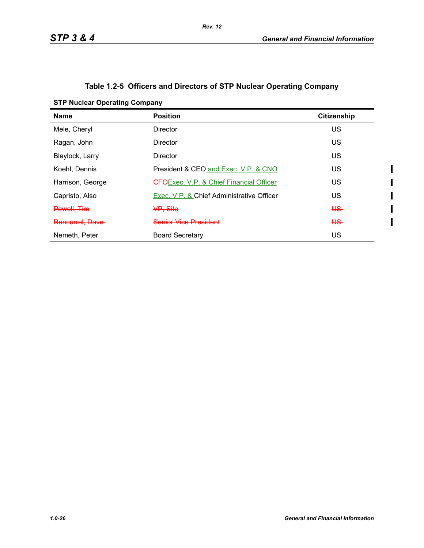$\mathbf I$  $\overline{\mathbf{I}}$ 

# **Table 1.2-5 Officers and Directors of STP Nuclear Operating Company**

| <b>STP Nuclear Operating Company</b> |
|--------------------------------------|
|--------------------------------------|

| <b>Name</b>      | <b>Position</b>                                 | <b>Citizenship</b> |
|------------------|-------------------------------------------------|--------------------|
| Mele, Cheryl     | <b>Director</b>                                 | US                 |
| Ragan, John      | <b>Director</b>                                 | US                 |
| Blaylock, Larry  | Director                                        | US                 |
| Koehl, Dennis    | President & CEO and Exec. V.P. & CNO            | US                 |
| Harrison, George | <b>GFO</b> Exec. V.P. & Chief Financial Officer | US                 |
| Capristo, Also   | Exec. V.P. & Chief Administrative Officer       | US                 |
| Powell, Tim      | <del>VP. Site</del>                             | <del>US</del>      |
| Rencurrel. Dave  | Senior Vice President                           | US-                |
| Nemeth, Peter    | <b>Board Secretary</b>                          | US                 |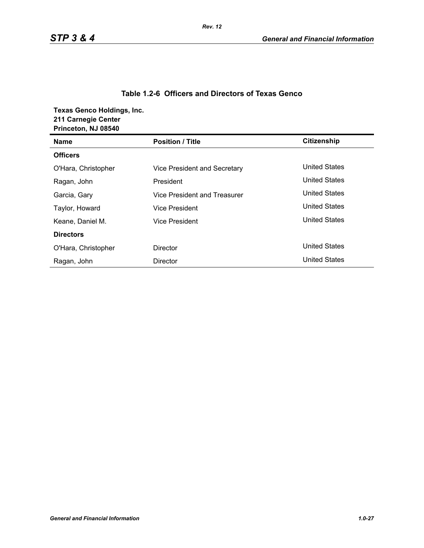#### **Table 1.2-6 Officers and Directors of Texas Genco**

**Texas Genco Holdings, Inc. 211 Carnegie Center**

| Princeton, NJ 08540 |                              |                      |
|---------------------|------------------------------|----------------------|
| <b>Name</b>         | <b>Position / Title</b>      | Citizenship          |
| <b>Officers</b>     |                              |                      |
| O'Hara, Christopher | Vice President and Secretary | <b>United States</b> |
| Ragan, John         | President                    | <b>United States</b> |
| Garcia, Gary        | Vice President and Treasurer | <b>United States</b> |
| Taylor, Howard      | Vice President               | <b>United States</b> |
| Keane, Daniel M.    | Vice President               | <b>United States</b> |
| <b>Directors</b>    |                              |                      |
| O'Hara, Christopher | Director                     | <b>United States</b> |
| Ragan, John         | <b>Director</b>              | <b>United States</b> |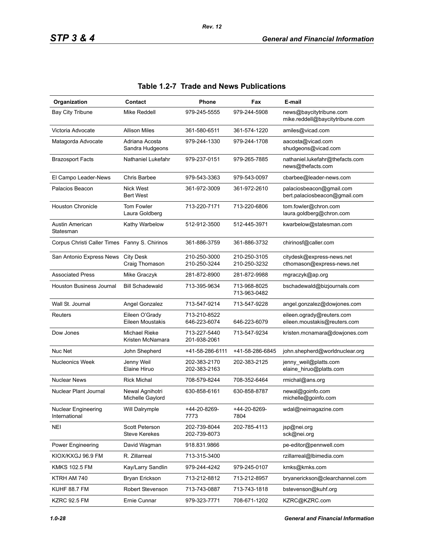| Organization                                  | Contact                                  | <b>Phone</b>                 | Fax                          | E-mail                                                     |
|-----------------------------------------------|------------------------------------------|------------------------------|------------------------------|------------------------------------------------------------|
| <b>Bay City Tribune</b>                       | Mike Reddell                             | 979-245-5555                 | 979-244-5908                 | news@baycitytribune.com<br>mike.reddell@baycitytribune.com |
| Victoria Advocate                             | <b>Allison Miles</b>                     | 361-580-6511                 | 361-574-1220                 | amiles@vicad.com                                           |
| Matagorda Advocate                            | Adriana Acosta<br>Sandra Hudgeons        | 979-244-1330                 | 979-244-1708                 | aacosta@vicad.com<br>shudgeons@vicad.com                   |
| <b>Brazosport Facts</b>                       | Nathaniel Lukefahr                       | 979-237-0151                 | 979-265-7885                 | nathaniel.lukefahr@thefacts.com<br>news@thefacts.com       |
| El Campo Leader-News                          | Chris Barbee                             | 979-543-3363                 | 979-543-0097                 | cbarbee@leader-news.com                                    |
| Palacios Beacon                               | <b>Nick West</b><br><b>Bert West</b>     | 361-972-3009                 | 361-972-2610                 | palaciosbeacon@gmail.com<br>bert palaciosbeacon@gmail.com  |
| <b>Houston Chronicle</b>                      | <b>Tom Fowler</b><br>Laura Goldberg      | 713-220-7171                 | 713-220-6806                 | tom.fowler@chron.com<br>laura.goldberg@chron.com           |
| Austin American<br>Statesman                  | Kathy Warbelow                           | 512-912-3500                 | 512-445-3971                 | kwarbelow@statesman.com                                    |
| Corpus Christi Caller Times Fanny S. Chirinos |                                          | 361-886-3759                 | 361-886-3732                 | chirinosf@caller.com                                       |
| San Antonio Express News                      | <b>City Desk</b><br>Craig Thomason       | 210-250-3000<br>210-250-3244 | 210-250-3105<br>210-250-3232 | citydesk@express-news.net<br>cthomason@express-news.net    |
| <b>Associated Press</b>                       | Mike Graczyk                             | 281-872-8900                 | 281-872-9988                 | mgraczyk@ap.org                                            |
| <b>Houston Business Journal</b>               | <b>Bill Schadewald</b>                   | 713-395-9634                 | 713-968-8025<br>713-963-0482 | bschadewald@bizjournals.com                                |
| Wall St. Journal                              | Angel Gonzalez                           | 713-547-9214                 | 713-547-9228                 | angel.gonzalez@dowjones.com                                |
| Reuters                                       | Eileen O'Grady<br>Eileen Moustakis       | 713-210-8522<br>646-223-6074 | 646-223-6079                 | eileen.ogrady@reuters.com<br>eileen.moustakis@reuters.com  |
| Dow Jones                                     | <b>Michael Rieke</b><br>Kristen McNamara | 713-227-5440<br>201-938-2061 | 713-547-9234                 | kristen.mcnamara@dowjones.com                              |
| Nuc Net                                       | John Shepherd                            | +41-58-286-6111              | +41-58-286-6845              | john.shepherd@worldnuclear.org                             |
| <b>Nucleonics Week</b>                        | Jenny Weil<br>Elaine Hiruo               | 202-383-2170<br>202-383-2163 | 202-383-2125                 | jenny_weil@platts.com<br>elaine_hiruo@platts.com           |
| <b>Nuclear News</b>                           | <b>Rick Michal</b>                       | 708-579-8244                 | 708-352-6464                 | rmichal@ans.org                                            |
| Nuclear Plant Journal                         | Newal Agnihotri<br>Michelle Gaylord      | 630-858-6161                 | 630-858-8787                 | newal@goinfo.com<br>michelle@goinfo.com                    |
| <b>Nuclear Engineering</b><br>International   | Will Dalrymple                           | +44-20-8269-<br>7773         | +44-20-8269-<br>7804         | wdal@neimagazine.com                                       |
| <b>NEI</b>                                    | Scott Peterson<br><b>Steve Kerekes</b>   | 202-739-8044<br>202-739-8073 | 202-785-4113                 | jsp@nei.org<br>sck@nei.org                                 |
| <b>Power Engineering</b>                      | David Wagman                             | 918.831.9866                 |                              | pe-editor@pennwell.com                                     |
| KIOX/KXGJ 96.9 FM                             | R. Zillarreal                            | 713-315-3400                 |                              | rzillarreal@lbimedia.com                                   |
| <b>KMKS 102.5 FM</b>                          | Kay/Larry Sandlin                        | 979-244-4242                 | 979-245-0107                 | kmks@kmks.com                                              |
| KTRH AM 740                                   | Bryan Erickson                           | 713-212-8812                 | 713-212-8957                 | bryanerickson@clearchannel.com                             |
| <b>KUHF 88.7 FM</b>                           | Robert Stevenson                         | 713-743-0887                 | 713-743-1818                 | bstevenson@kuhf.org                                        |
| <b>KZRC 92.5 FM</b>                           | Ernie Cunnar                             | 979-323-7771                 | 708-671-1202                 | KZRC@KZRC.com                                              |

# **Table 1.2-7 Trade and News Publications**

*Rev. 12*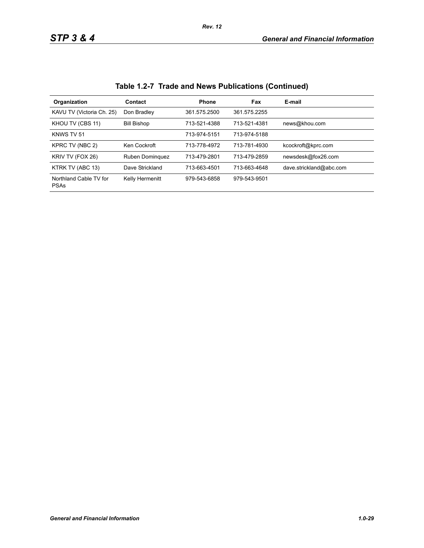| Organization                          | Contact            | <b>Phone</b> | <b>Fax</b>   | E-mail                  |
|---------------------------------------|--------------------|--------------|--------------|-------------------------|
| KAVU TV (Victoria Ch. 25)             | Don Bradley        | 361.575.2500 | 361.575.2255 |                         |
| KHOU TV (CBS 11)                      | <b>Bill Bishop</b> | 713-521-4388 | 713-521-4381 | news@khou.com           |
| KNWS TV 51                            |                    | 713-974-5151 | 713-974-5188 |                         |
| KPRC TV (NBC 2)                       | Ken Cockroft       | 713-778-4972 | 713-781-4930 | kcockroft@kprc.com      |
| KRIV TV (FOX 26)                      | Ruben Dominguez    | 713-479-2801 | 713-479-2859 | newsdesk@fox26.com      |
| KTRK TV (ABC 13)                      | Dave Strickland    | 713-663-4501 | 713-663-4648 | dave.strickland@abc.com |
| Northland Cable TV for<br><b>PSAs</b> | Kelly Hermenitt    | 979-543-6858 | 979-543-9501 |                         |

**Table 1.2-7 Trade and News Publications (Continued)**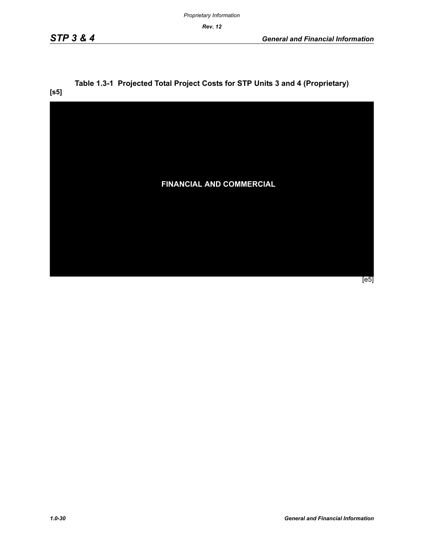*Rev. 12* 

**[s5]**

# **Table 1.3-1 Projected Total Project Costs for STP Units 3 and 4 (Proprietary)**

**FINANCIAL AND COMMERCIAL** [e5]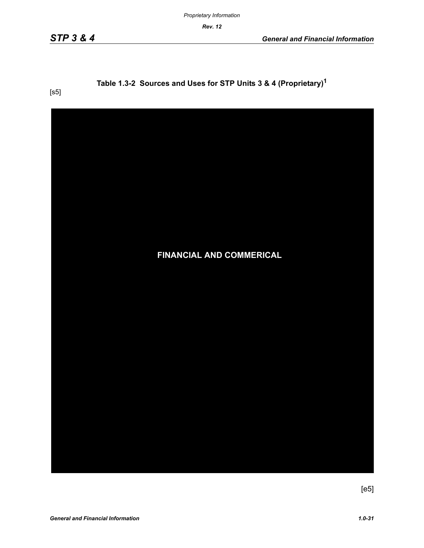*Proprietary Information*

*Rev. 12*

# **Table 1.3-2 Sources and Uses for STP Units 3 & 4 (Proprietary)1**

[s5]



 $[e5]$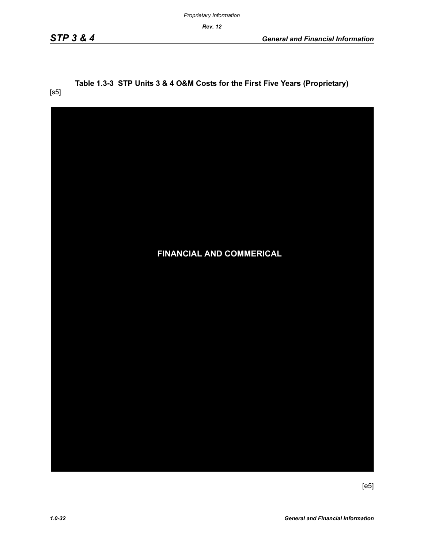*Rev. 12*

#### **Table 1.3-3 STP Units 3 & 4 O&M Costs for the First Five Years (Proprietary)** [s5]

| <b>FINANCIAL AND COMMERICAL</b> |
|---------------------------------|
|                                 |
|                                 |
|                                 |
|                                 |

[e5]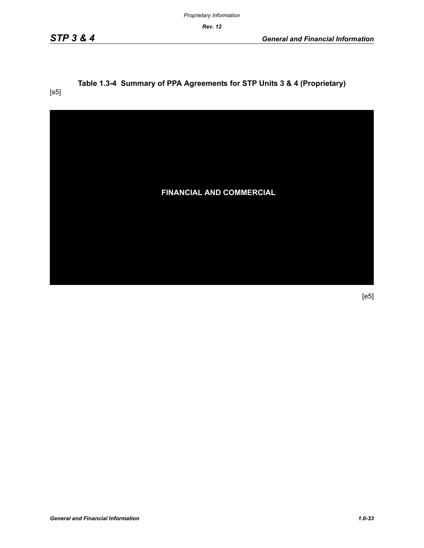*Proprietary Information*

*Rev. 12*

# **Table 1.3-4 Summary of PPA Agreements for STP Units 3 & 4 (Proprietary)**

[s5]



[e5]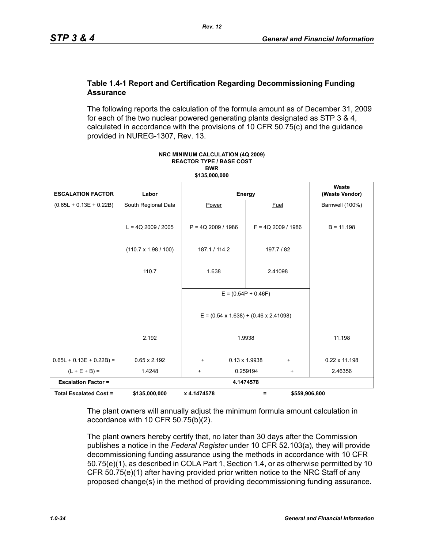#### **Table 1.4-1 Report and Certification Regarding Decommissioning Funding Assurance**

The following reports the calculation of the formula amount as of December 31, 2009 for each of the two nuclear powered generating plants designated as STP 3 & 4, calculated in accordance with the provisions of 10 CFR 50.75(c) and the guidance provided in NUREG-1307, Rev. 13.

| <b>ESCALATION FACTOR</b>      | Labor                       | Energy                                                      |                                   | Waste<br>(Waste Vendor) |  |
|-------------------------------|-----------------------------|-------------------------------------------------------------|-----------------------------------|-------------------------|--|
| $(0.65L + 0.13E + 0.22B)$     | South Regional Data         | Power                                                       | Fuel                              | Barnwell (100%)         |  |
|                               | $L = 4Q$ 2009 / 2005        | $P = 4Q$ 2009 / 1986                                        | $F = 4Q$ 2009 / 1986              | $B = 11.198$            |  |
|                               | $(110.7 \times 1.98 / 100)$ | 187.1 / 114.2                                               | 197.7 / 82                        |                         |  |
|                               | 110.7                       | 1.638                                                       | 2.41098                           |                         |  |
|                               |                             | $E = (0.54P + 0.46F)$                                       |                                   |                         |  |
|                               |                             | $E = (0.54 \times 1.638) + (0.46 \times 2.41098)$<br>1.9938 |                                   |                         |  |
|                               | 2.192                       |                                                             |                                   | 11.198                  |  |
| $0.65L + 0.13E + 0.22B$ =     | $0.65 \times 2.192$         | $\ddot{}$                                                   | $0.13 \times 1.9938$<br>$\ddot{}$ | $0.22 \times 11.198$    |  |
| $(L + E + B) =$               | 1.4248                      | $\ddot{}$                                                   | 0.259194<br>+                     | 2.46356                 |  |
| <b>Escalation Factor =</b>    | 4.1474578                   |                                                             |                                   |                         |  |
| <b>Total Escalated Cost =</b> | \$135,000,000               | x 4.1474578                                                 | \$559,906,800<br>Ξ                |                         |  |

#### **NRC MINIMUM CALCULATION (4Q 2009) REACTOR TYPE / BASE COST BWR \$135,000,000**

The plant owners will annually adjust the minimum formula amount calculation in accordance with 10 CFR 50.75(b)(2).

The plant owners hereby certify that, no later than 30 days after the Commission publishes a notice in the *Federal Register* under 10 CFR 52.103(a), they will provide decommissioning funding assurance using the methods in accordance with 10 CFR 50.75(e)(1), as described in COLA Part 1, Section 1.4, or as otherwise permitted by 10 CFR 50.75(e)(1) after having provided prior written notice to the NRC Staff of any proposed change(s) in the method of providing decommissioning funding assurance.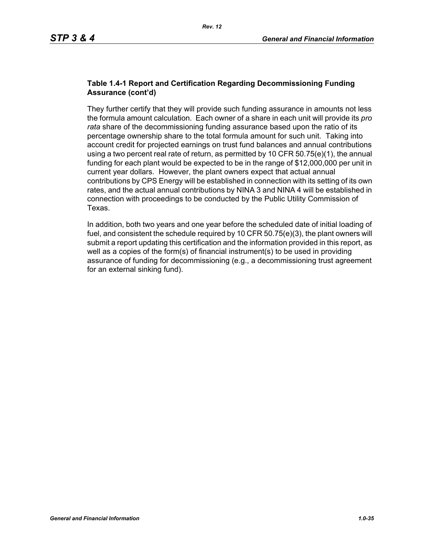#### **Table 1.4-1 Report and Certification Regarding Decommissioning Funding Assurance (cont'd)**

They further certify that they will provide such funding assurance in amounts not less the formula amount calculation. Each owner of a share in each unit will provide its *pro rata* share of the decommissioning funding assurance based upon the ratio of its percentage ownership share to the total formula amount for such unit. Taking into account credit for projected earnings on trust fund balances and annual contributions using a two percent real rate of return, as permitted by 10 CFR  $50.75(e)(1)$ , the annual funding for each plant would be expected to be in the range of \$12,000,000 per unit in current year dollars. However, the plant owners expect that actual annual contributions by CPS Energy will be established in connection with its setting of its own rates, and the actual annual contributions by NINA 3 and NINA 4 will be established in connection with proceedings to be conducted by the Public Utility Commission of Texas.

In addition, both two years and one year before the scheduled date of initial loading of fuel, and consistent the schedule required by 10 CFR 50.75(e)(3), the plant owners will submit a report updating this certification and the information provided in this report, as well as a copies of the form(s) of financial instrument(s) to be used in providing assurance of funding for decommissioning (e.g., a decommissioning trust agreement for an external sinking fund).